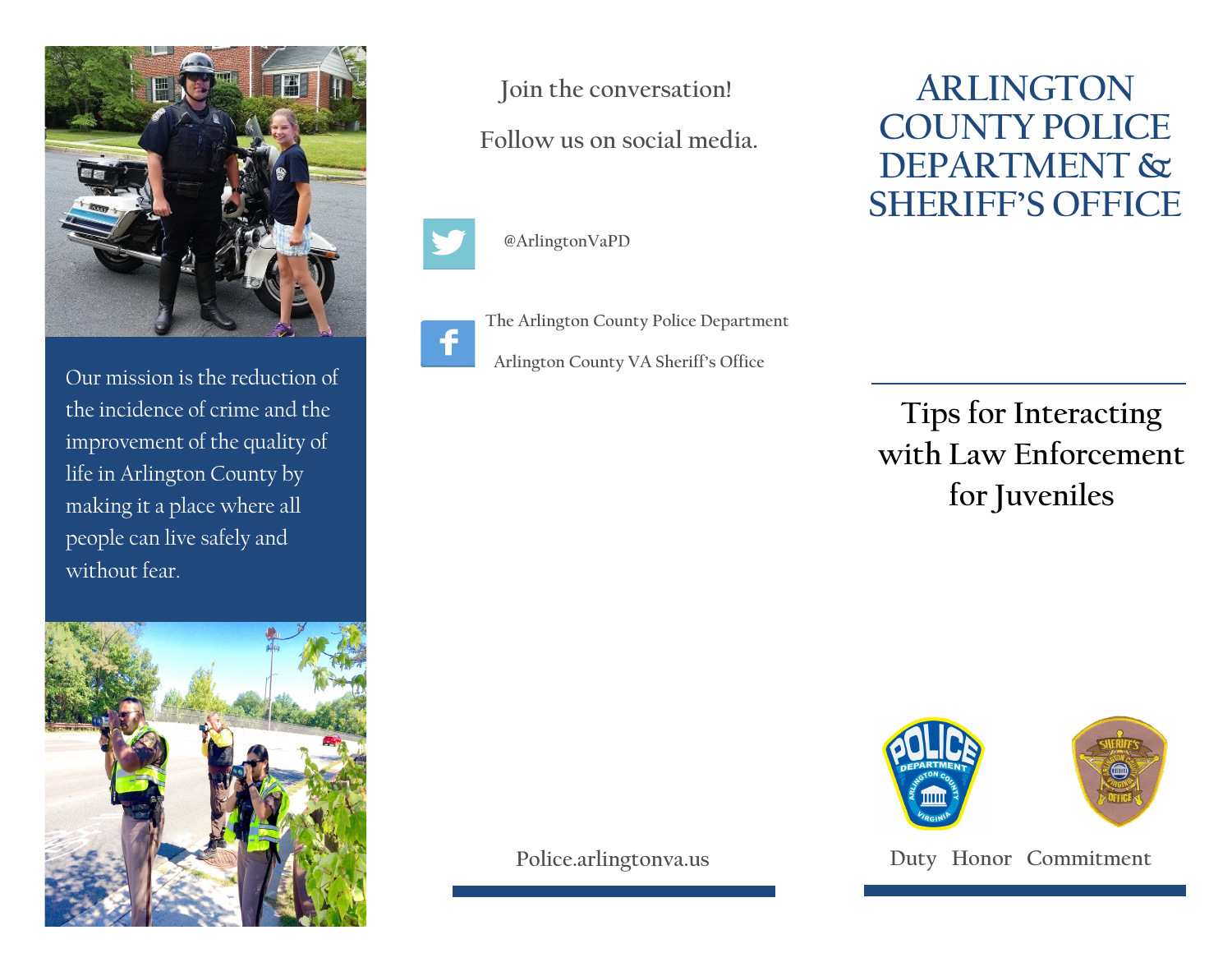

Our mission is the reduction of the incidence of crime and the improvement of the quality of life in Arlington County by making it a place where all people can live safely and without fear.



**Join the conversation!**

**Follow us on social media.**



**@ArlingtonVaPD**



i<br>I

**The Arlington County Police Department**

**Arlington County VA Sheriff's Office** 

**ARLINGTON COUNTY POLICE DEPARTMENT & SHERIFF'S OFFICE**

**Tips for Interacting with Law Enforcement for Juveniles** 



**Police.arlingtonva.us**

**Duty Honor Commitment**

i<br>I